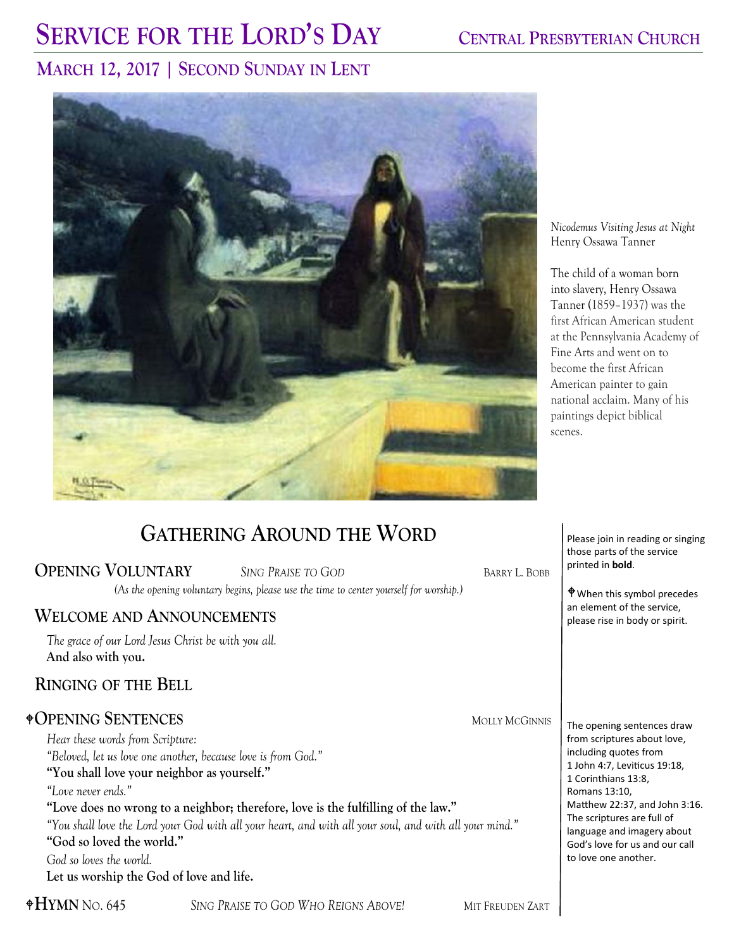# **SERVICE FOR THE LORD'S DAY CENTRAL PRESBYTERIAN CHURCH**

### **MARCH 12, 2017 | SECOND SUNDAY IN LENT**



*Nicodemus Visiting Jesus at Night*  Henry Ossawa Tanner

The child of a woman born into slavery, Henry Ossawa Tanner (1859–1937) was the first African American student at the Pennsylvania Academy of Fine Arts and went on to become the first African American painter to gain national acclaim. Many of his paintings depict biblical scenes.

### **GATHERING AROUND THE WORD**

#### **OPENING VOLUNTARY** *SING PRAISE TO GOD* BARRY L. BOBB

*(As the opening voluntary begins, please use the time to center yourself for worship.)*

### **WELCOME AND ANNOUNCEMENTS**

*The grace of our Lord Jesus Christ be with you all.*  **And also with you.** 

### **RINGING OF THE BELL**

### **OPENING SENTENCES** MOLLY MCGINNIS

*Hear these words from Scripture: "Beloved, let us love one another, because love is from God."* **"You shall love your neighbor as yourself."** *"Love never ends."*  **"Love does no wrong to a neighbor; therefore, love is the fulfilling of the law."** *"You shall love the Lord your God with all your heart, and with all your soul, and with all your mind."* **"God so loved the world."** *God so loves the world.* **Let us worship the God of love and life.** 

Please join in reading or singing those parts of the service printed in **bold**.

When this symbol precedes an element of the service, please rise in body or spirit.

The opening sentences draw from scriptures about love, including quotes from 1 John 4:7, Leviticus 19:18, 1 Corinthians 13:8, Romans 13:10, Matthew 22:37, and John 3:16. The scriptures are full of language and imagery about God's love for us and our call to love one another.

**HYMN** NO. 645 *SING PRAISE TO GOD WHO REIGNS ABOVE!* MIT FREUDEN ZART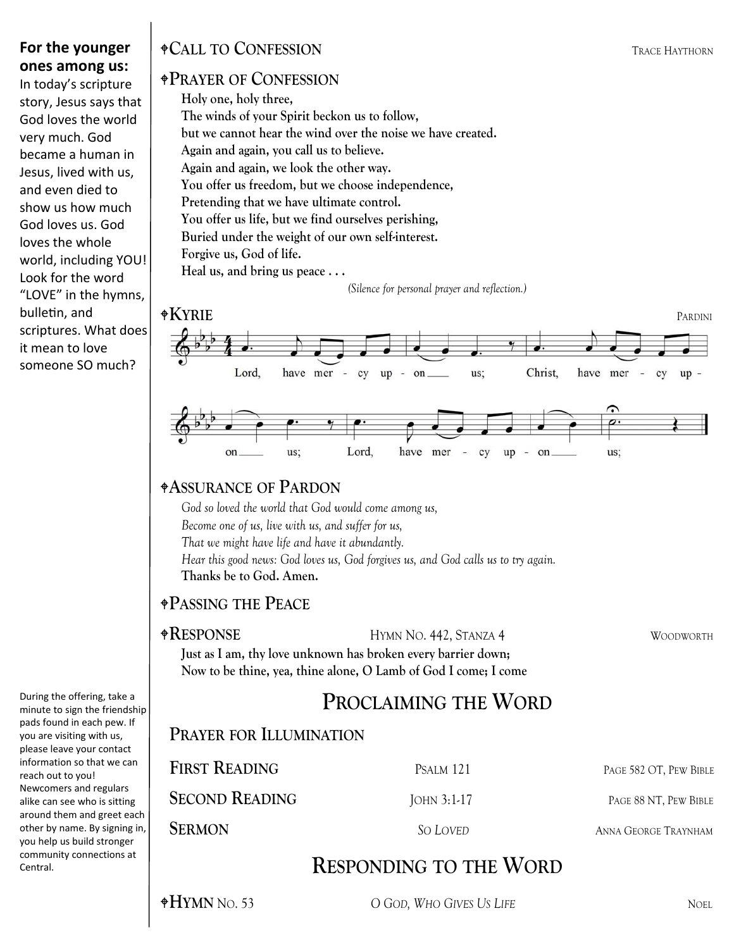### **For the younger ones among us:**

In today's scripture story, Jesus says that God loves the world very much. God became a human in Jesus, lived with us, and even died to show us how much God loves us. God loves the whole world, including YOU! Look for the word "LOVE" in the hymns, bulletin, and scriptures. What does it mean to love someone SO much?

During the offering, take a minute to sign the friendship pads found in each pew. If you are visiting with us, please leave your contact information so that we can reach out to you! Newcomers and regulars alike can see who is sitting around them and greet each other by name. By signing in, you help us build stronger community connections at Central.

### **CALL TO CONFESSION** TRACE HAYTHORN

### **PRAYER OF CONFESSION**

**Holy one, holy three, The winds of your Spirit beckon us to follow, but we cannot hear the wind over the noise we have created. Again and again, you call us to believe. Again and again, we look the other way. You offer us freedom, but we choose independence, Pretending that we have ultimate control. You offer us life, but we find ourselves perishing, Buried under the weight of our own self-interest. Forgive us, God of life. Heal us, and bring us peace . . .** 

*(Silence for personal prayer and reflection.)* 



### **ASSURANCE OF PARDON**

*God so loved the world that God would come among us, Become one of us, live with us, and suffer for us, That we might have life and have it abundantly. Hear this good news: God loves us, God forgives us, and God calls us to try again.*  **Thanks be to God. Amen.**

### **PASSING THE PEACE**

**RESPONSE** HYMN NO. 442, STANZA 4 WOODWORTH

### **Just as I am, thy love unknown has broken every barrier down; Now to be thine, yea, thine alone, O Lamb of God I come; I come**

## **PROCLAIMING THE WORD**

### **PRAYER FOR ILLUMINATION**

| <b>FIRST READING</b>  | PSALM 121   | PAGE 582 OT, PEW BIBLE      |
|-----------------------|-------------|-----------------------------|
| <b>SECOND READING</b> | JOHN 3:1-17 | PAGE 88 NT, PEW BIBLE       |
| <b>SERMON</b>         | So Loved    | <b>ANNA GEORGE TRAYNHAM</b> |

### **RESPONDING TO THE WORD**

**HYMN** NO. 53 *O GOD, WHO GIVES US LIFE* NOEL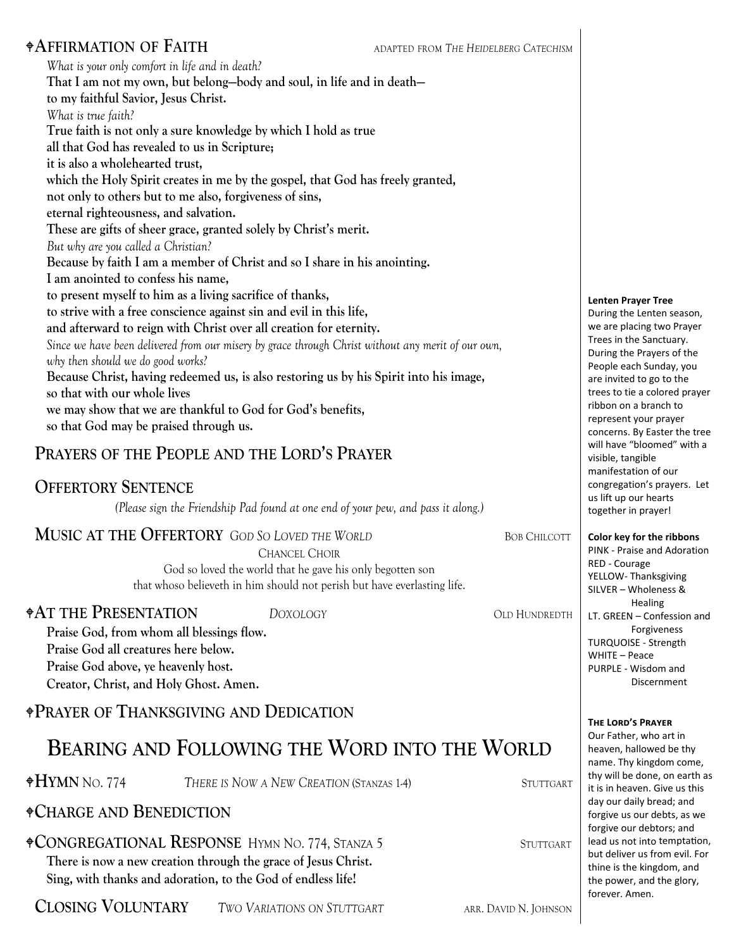### **AFFIRMATION OF FAITH** ADAPTED FROM *THE HEIDELBERG CATECHISM*

*What is your only comfort in life and in death?* **That I am not my own, but belong—body and soul, in life and in death to my faithful Savior, Jesus Christ.** *What is true faith?*  **True faith is not only a sure knowledge by which I hold as true all that God has revealed to us in Scripture; it is also a wholehearted trust, which the Holy Spirit creates in me by the gospel, that God has freely granted, not only to others but to me also, forgiveness of sins, eternal righteousness, and salvation. These are gifts of sheer grace, granted solely by Christ's merit.** *But why are you called a Christian?* **Because by faith I am a member of Christ and so I share in his anointing. I am anointed to confess his name, to present myself to him as a living sacrifice of thanks, to strive with a free conscience against sin and evil in this life, and afterward to reign with Christ over all creation for eternity.** *Since we have been delivered from our misery by grace through Christ without any merit of our own, why then should we do good works?*  **Because Christ, having redeemed us, is also restoring us by his Spirit into his image, so that with our whole lives we may show that we are thankful to God for God's benefits, so that God may be praised through us.**

### **PRAYERS OF THE PEOPLE AND THE LORD'S PRAYER**

### **OFFERTORY SENTENCE**

*(Please sign the Friendship Pad found at one end of your pew, and pass it along.)*

### **MUSIC AT THE OFFERTORY** GOD SO LOVED THE WORLD BOB CHILCOTT

CHANCEL CHOIR

God so loved the world that he gave his only begotten son that whoso believeth in him should not perish but have everlasting life.

**AT THE PRESENTATION** *DOXOLOGY* OLD HUNDREDTH

**Praise God, from whom all blessings flow. Praise God all creatures here below. Praise God above, ye heavenly host. Creator, Christ, and Holy Ghost. Amen.** 

**PRAYER OF THANKSGIVING AND DEDICATION**

# **BEARING AND FOLLOWING THE WORD INTO THE WORLD**

**HYMN** NO. 774 *THERE IS NOW A NEW CREATION* (STANZAS 1-4) STUTTGART

### **CHARGE AND BENEDICTION**

**CONGREGATIONAL RESPONSE** HYMN NO. 774, STANZA 5 STUTTGART

**There is now a new creation through the grace of Jesus Christ. Sing, with thanks and adoration, to the God of endless life!** 

**CLOSING VOLUNTARY** TWO VARIATIONS ON STUTTGART ARR. DAVID N. JOHNSON

**Lenten Prayer Tree**

During the Lenten season, we are placing two Prayer Trees in the Sanctuary. During the Prayers of the People each Sunday, you are invited to go to the trees to tie a colored prayer ribbon on a branch to represent your prayer concerns. By Easter the tree will have "bloomed" with a visible, tangible manifestation of our congregation's prayers. Let us lift up our hearts together in prayer!

**Color key for the ribbons**

PINK ‐ Praise and Adoration RED ‐ Courage YELLOW‐ Thanksgiving SILVER – Wholeness & **Healing** LT. GREEN – Confession and Forgiveness TURQUOISE ‐ Strength WHITE – Peace PURPLE ‐ Wisdom and Discernment

#### $T$ **HE LORD'S PRAYER**

Our Father, who art in heaven, hallowed be thy name. Thy kingdom come, thy will be done, on earth as it is in heaven. Give us this day our daily bread; and forgive us our debts, as we forgive our debtors; and lead us not into temptation, but deliver us from evil. For thine is the kingdom, and the power, and the glory, forever. Amen.